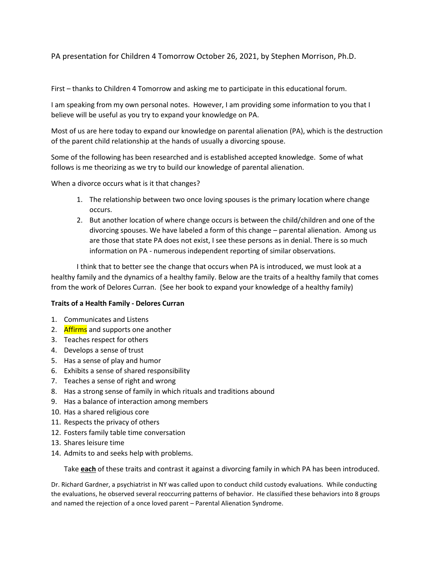PA presentation for Children 4 Tomorrow October 26, 2021, by Stephen Morrison, Ph.D.

First – thanks to Children 4 Tomorrow and asking me to participate in this educational forum.

I am speaking from my own personal notes. However, I am providing some information to you that I believe will be useful as you try to expand your knowledge on PA.

Most of us are here today to expand our knowledge on parental alienation (PA), which is the destruction of the parent child relationship at the hands of usually a divorcing spouse.

Some of the following has been researched and is established accepted knowledge. Some of what follows is me theorizing as we try to build our knowledge of parental alienation.

When a divorce occurs what is it that changes?

- 1. The relationship between two once loving spouses is the primary location where change occurs.
- 2. But another location of where change occurs is between the child/children and one of the divorcing spouses. We have labeled a form of this change – parental alienation. Among us are those that state PA does not exist, I see these persons as in denial. There is so much information on PA - numerous independent reporting of similar observations.

I think that to better see the change that occurs when PA is introduced, we must look at a healthy family and the dynamics of a healthy family. Below are the traits of a healthy family that comes from the work of Delores Curran. (See her book to expand your knowledge of a healthy family)

#### **Traits of a Health Family - Delores Curran**

- 1. Communicates and Listens
- 2. Affirms and supports one another
- 3. Teaches respect for others
- 4. Develops a sense of trust
- 5. Has a sense of play and humor
- 6. Exhibits a sense of shared responsibility
- 7. Teaches a sense of right and wrong
- 8. Has a strong sense of family in which rituals and traditions abound
- 9. Has a balance of interaction among members
- 10. Has a shared religious core
- 11. Respects the privacy of others
- 12. Fosters family table time conversation
- 13. Shares leisure time
- 14. Admits to and seeks help with problems.

Take **each** of these traits and contrast it against a divorcing family in which PA has been introduced.

Dr. Richard Gardner, a psychiatrist in NY was called upon to conduct child custody evaluations. While conducting the evaluations, he observed several reoccurring patterns of behavior. He classified these behaviors into 8 groups and named the rejection of a once loved parent – Parental Alienation Syndrome.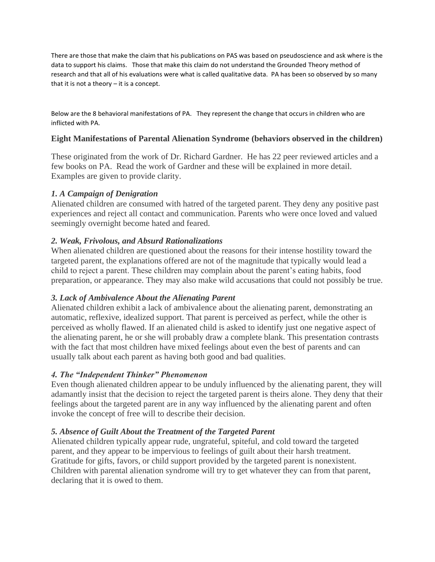There are those that make the claim that his publications on PAS was based on pseudoscience and ask where is the data to support his claims. Those that make this claim do not understand the Grounded Theory method of research and that all of his evaluations were what is called qualitative data. PA has been so observed by so many that it is not a theory – it is a concept.

Below are the 8 behavioral manifestations of PA. They represent the change that occurs in children who are inflicted with PA.

# **Eight Manifestations of Parental Alienation Syndrome (behaviors observed in the children)**

These originated from the work of Dr. Richard Gardner. He has 22 peer reviewed articles and a few books on PA. Read the work of Gardner and these will be explained in more detail. Examples are given to provide clarity.

### *1. A Campaign of Denigration*

Alienated children are consumed with hatred of the targeted parent. They deny any positive past experiences and reject all contact and communication. Parents who were once loved and valued seemingly overnight become hated and feared.

### *2. Weak, Frivolous, and Absurd Rationalizations*

When alienated children are questioned about the reasons for their intense hostility toward the targeted parent, the explanations offered are not of the magnitude that typically would lead a child to reject a parent. These children may complain about the parent's eating habits, food preparation, or appearance. They may also make wild accusations that could not possibly be true.

### *3. Lack of Ambivalence About the Alienating Parent*

Alienated children exhibit a lack of ambivalence about the alienating parent, demonstrating an automatic, reflexive, idealized support. That parent is perceived as perfect, while the other is perceived as wholly flawed. If an alienated child is asked to identify just one negative aspect of the alienating parent, he or she will probably draw a complete blank. This presentation contrasts with the fact that most children have mixed feelings about even the best of parents and can usually talk about each parent as having both good and bad qualities.

### *4. The "Independent Thinker" Phenomenon*

Even though alienated children appear to be unduly influenced by the alienating parent, they will adamantly insist that the decision to reject the targeted parent is theirs alone. They deny that their feelings about the targeted parent are in any way influenced by the alienating parent and often invoke the concept of free will to describe their decision.

### *5. Absence of Guilt About the Treatment of the Targeted Parent*

Alienated children typically appear rude, ungrateful, spiteful, and cold toward the targeted parent, and they appear to be impervious to feelings of guilt about their harsh treatment. Gratitude for gifts, favors, or child support provided by the targeted parent is nonexistent. Children with parental alienation syndrome will try to get whatever they can from that parent, declaring that it is owed to them.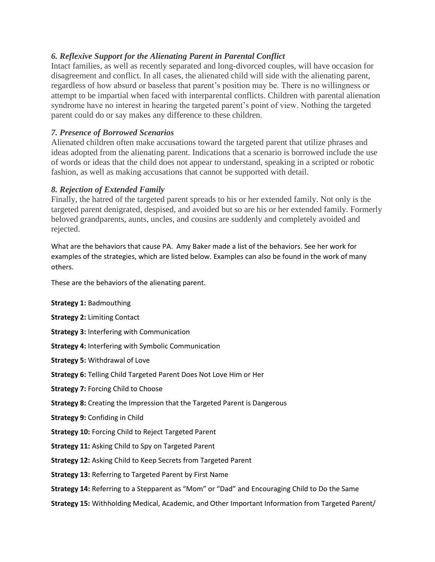# *6. Reflexive Support for the Alienating Parent in Parental Conflict*

Intact families, as well as recently separated and long-divorced couples, will have occasion for disagreement and conflict. In all cases, the alienated child will side with the alienating parent, regardless of how absurd or baseless that parent's position may be. There is no willingness or attempt to be impartial when faced with interparental conflicts. Children with parental alienation syndrome have no interest in hearing the targeted parent's point of view. Nothing the targeted parent could do or say makes any difference to these children.

# *7. Presence of Borrowed Scenarios*

Alienated children often make accusations toward the targeted parent that utilize phrases and ideas adopted from the alienating parent. Indications that a scenario is borrowed include the use of words or ideas that the child does not appear to understand, speaking in a scripted or robotic fashion, as well as making accusations that cannot be supported with detail.

# *8. Rejection of Extended Family*

Finally, the hatred of the targeted parent spreads to his or her extended family. Not only is the targeted parent denigrated, despised, and avoided but so are his or her extended family. Formerly beloved grandparents, aunts, uncles, and cousins are suddenly and completely avoided and rejected.

What are the behaviors that cause PA. Amy Baker made a list of the behaviors. See her work for examples of the strategies, which are listed below. Examples can also be found in the work of many others.

These are the behaviors of the alienating parent.

**Strategy 1:** Badmouthing

**Strategy 2:** Limiting Contact

- **Strategy 3:** Interfering with Communication
- **Strategy 4:** Interfering with Symbolic Communication

**Strategy 5:** Withdrawal of Love

- **Strategy 6:** Telling Child Targeted Parent Does Not Love Him or Her
- **Strategy 7:** Forcing Child to Choose
- **Strategy 8:** Creating the Impression that the Targeted Parent is Dangerous
- **Strategy 9:** Confiding in Child
- **Strategy 10:** Forcing Child to Reject Targeted Parent
- **Strategy 11:** Asking Child to Spy on Targeted Parent

**Strategy 12:** Asking Child to Keep Secrets from Targeted Parent

**Strategy 13:** Referring to Targeted Parent by First Name

**Strategy 14:** Referring to a Stepparent as "Mom" or "Dad" and Encouraging Child to Do the Same

**Strategy 15:** Withholding Medical, Academic, and Other Important Information from Targeted Parent/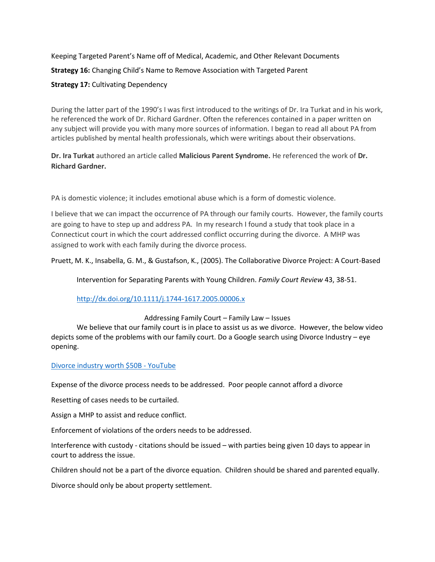Keeping Targeted Parent's Name off of Medical, Academic, and Other Relevant Documents **Strategy 16:** Changing Child's Name to Remove Association with Targeted Parent **Strategy 17:** Cultivating Dependency

During the latter part of the 1990's I was first introduced to the writings of Dr. Ira Turkat and in his work, he referenced the work of Dr. Richard Gardner. Often the references contained in a paper written on any subject will provide you with many more sources of information. I began to read all about PA from articles published by mental health professionals, which were writings about their observations.

**Dr. Ira Turkat** authored an article called **Malicious Parent Syndrome.** He referenced the work of **Dr. Richard Gardner.** 

PA is domestic violence; it includes emotional abuse which is a form of domestic violence.

I believe that we can impact the occurrence of PA through our family courts. However, the family courts are going to have to step up and address PA. In my research I found a study that took place in a Connecticut court in which the court addressed conflict occurring during the divorce. A MHP was assigned to work with each family during the divorce process.

Pruett, M. K., Insabella, G. M., & Gustafson, K., (2005). The Collaborative Divorce Project: A Court-Based

Intervention for Separating Parents with Young Children. *Family Court Review* 43, 38-51.

<http://dx.doi.org/10.1111/j.1744-1617.2005.00006.x>

Addressing Family Court – Family Law – Issues

We believe that our family court is in place to assist us as we divorce. However, the below video depicts some of the problems with our family court. Do a Google search using Divorce Industry – eye opening.

#### [Divorce industry worth \\$50B -](https://www.youtube.com/watch?v=LgtscLD_5l4) YouTube

Expense of the divorce process needs to be addressed. Poor people cannot afford a divorce

Resetting of cases needs to be curtailed.

Assign a MHP to assist and reduce conflict.

Enforcement of violations of the orders needs to be addressed.

Interference with custody - citations should be issued – with parties being given 10 days to appear in court to address the issue.

Children should not be a part of the divorce equation. Children should be shared and parented equally.

Divorce should only be about property settlement.